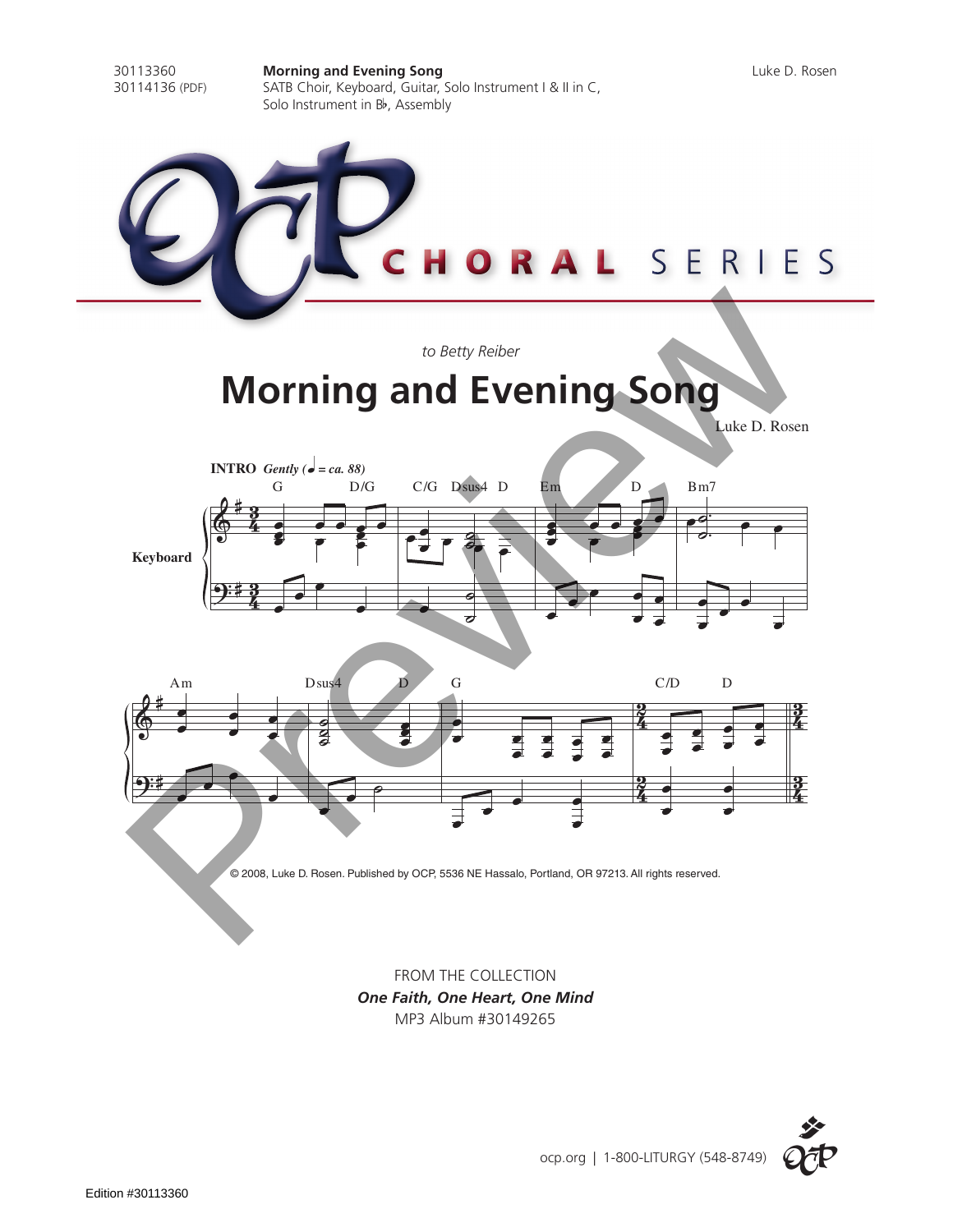

*One Faith, One Heart, One Mind* MP3 Album #30149265

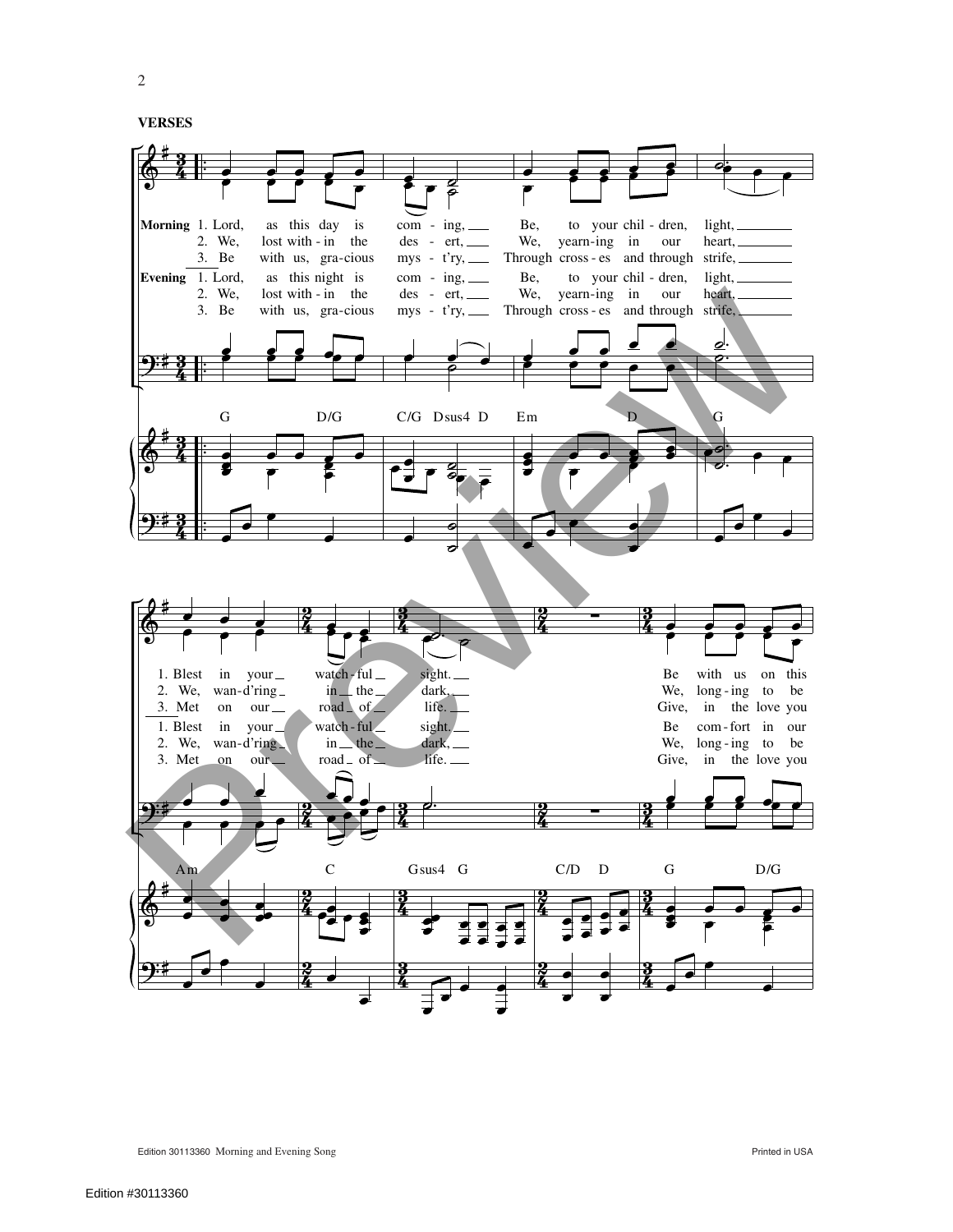2

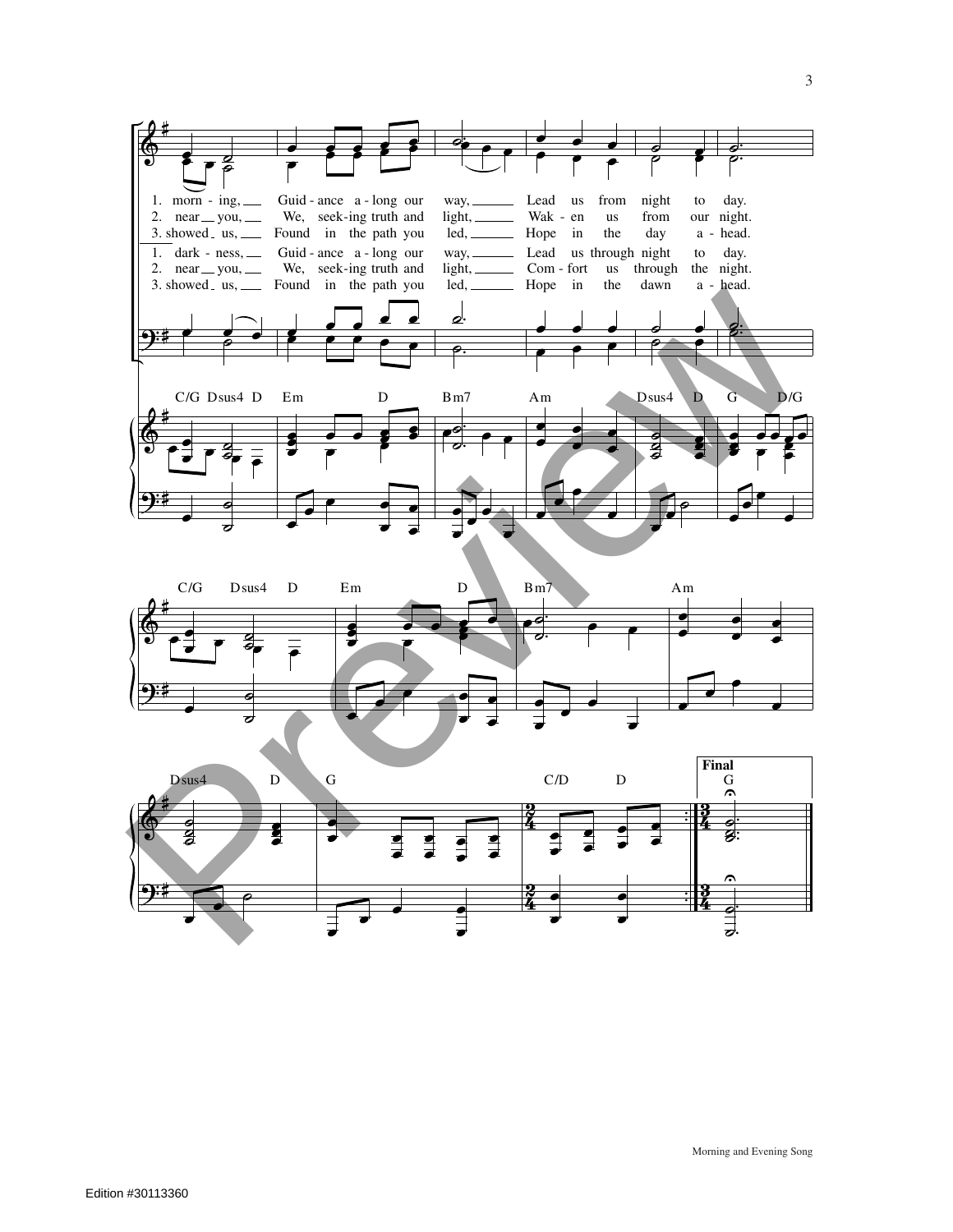



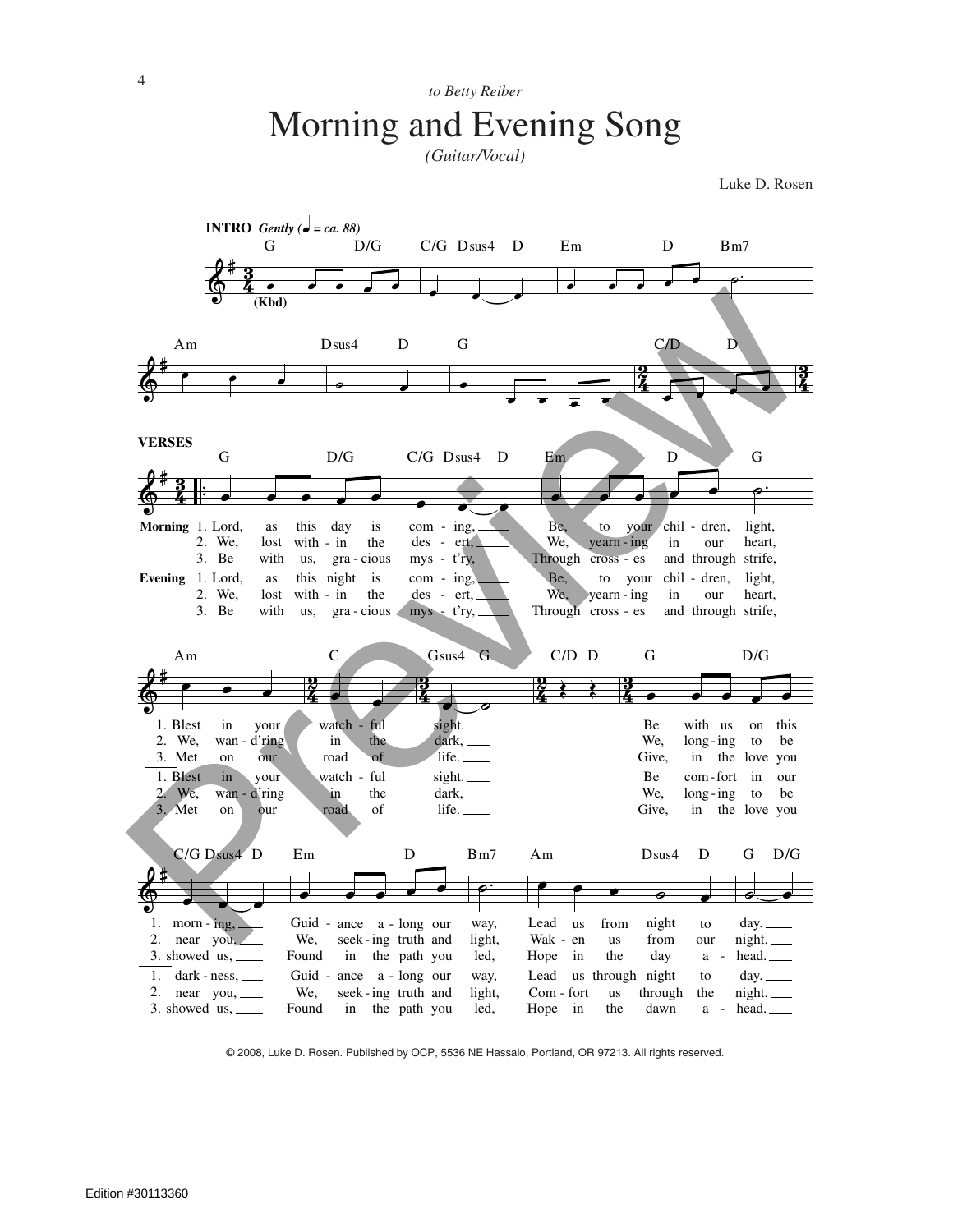## to Betty Reiber Morning and Evening Song

(Guitar/Vocal)

Luke D. Rosen



@ 2008, Luke D. Rosen. Published by OCP, 5536 NE Hassalo, Portland, OR 97213. All rights reserved.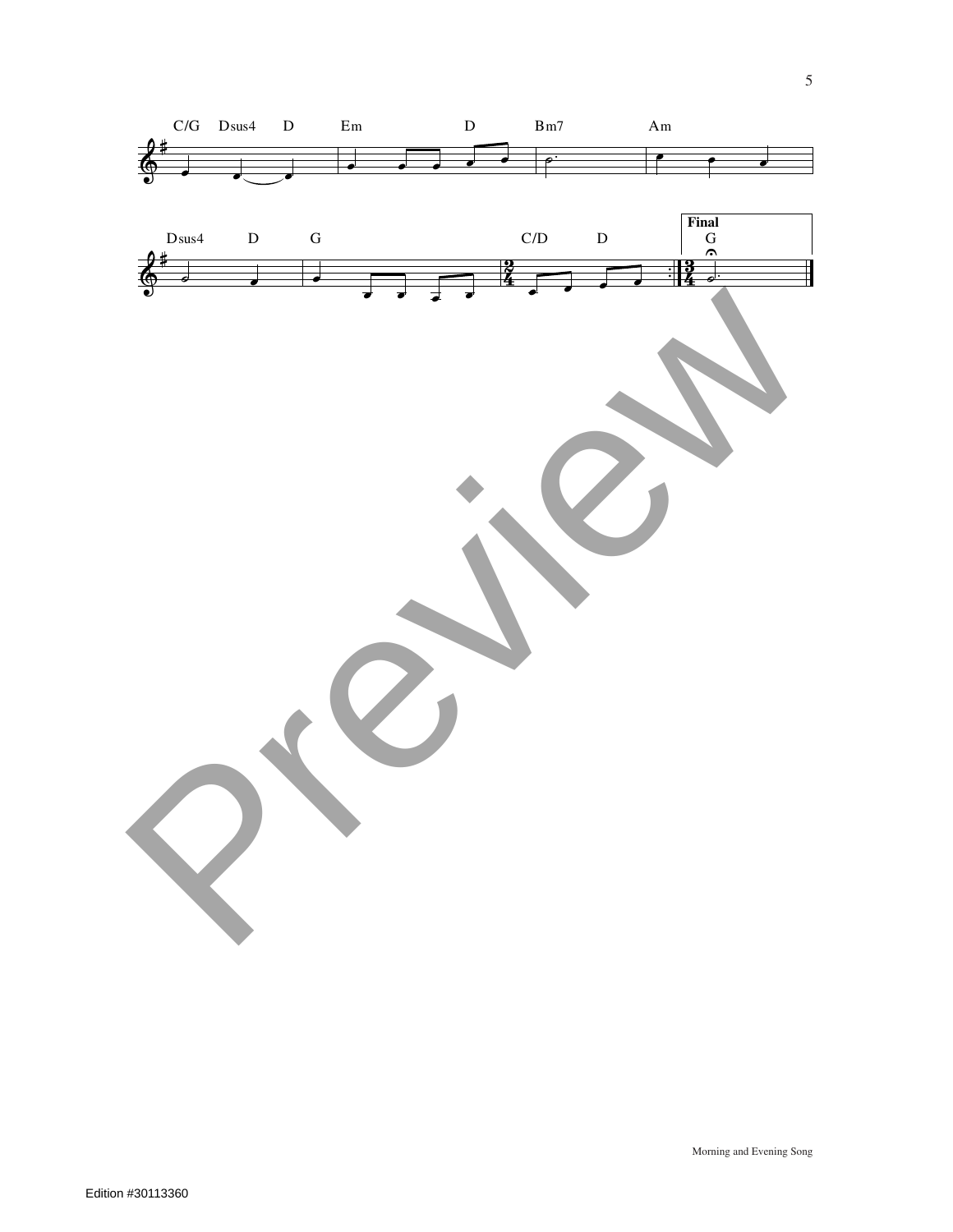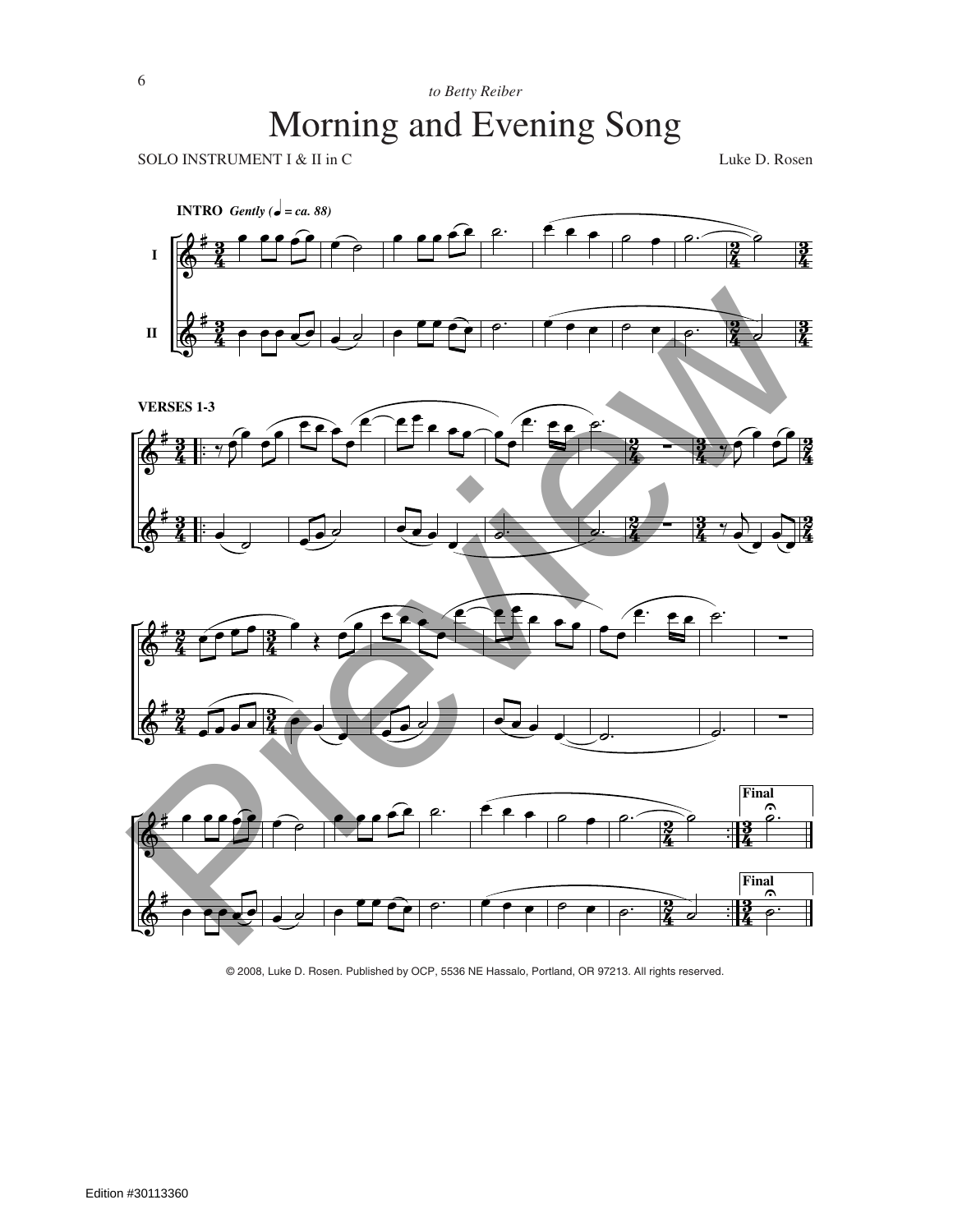SOLO INSTRUMENT I & II in C Luke D. Rosen



© 2008, Luke D. Rosen. Published by OCP, 5536 NE Hassalo, Portland, OR 97213. All rights reserved.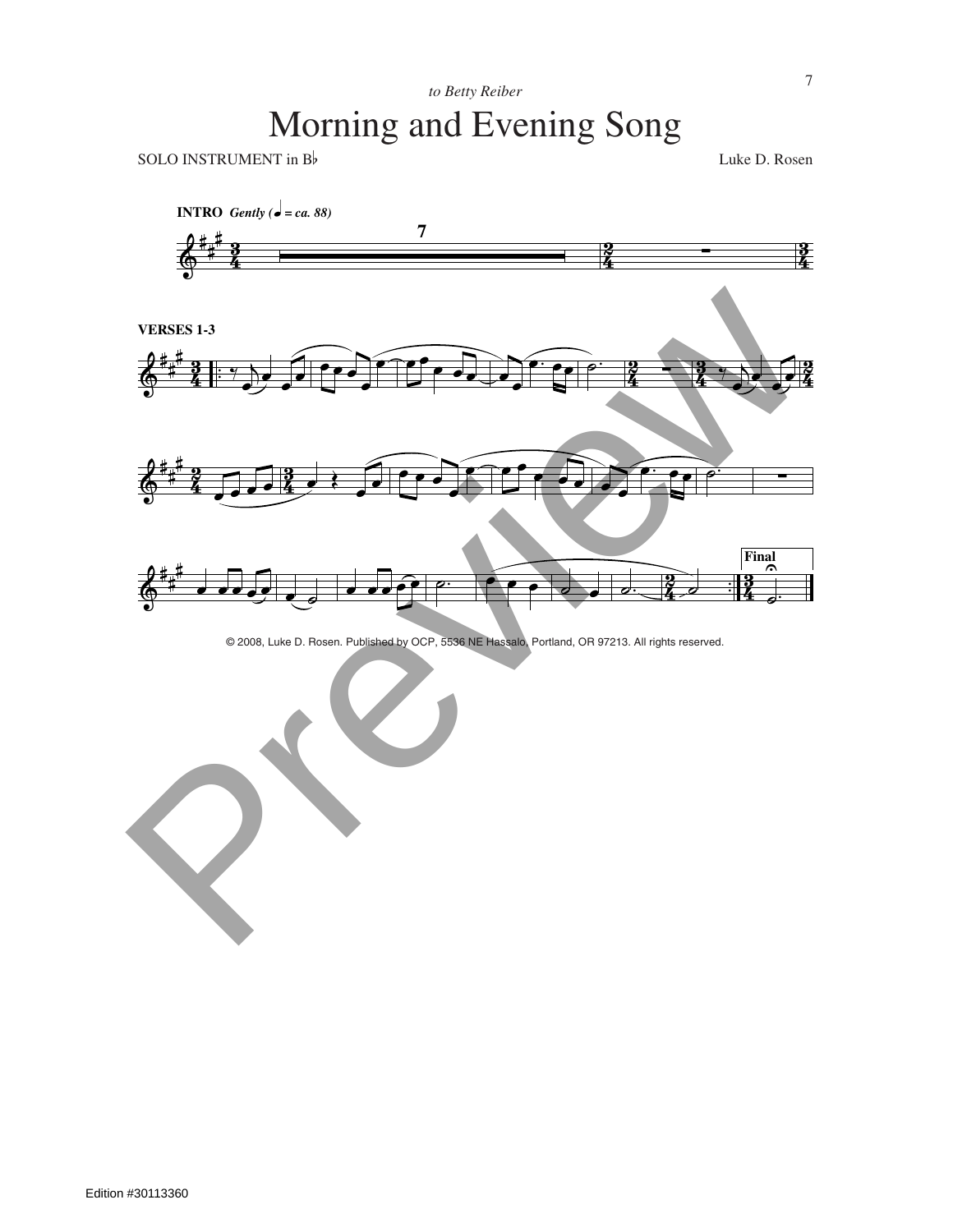